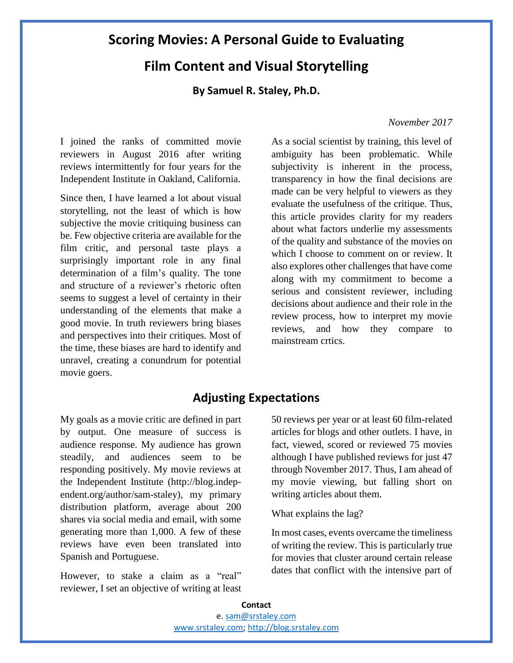# **Scoring Movies: A Personal Guide to Evaluating**

# **Film Content and Visual Storytelling**

**By Samuel R. Staley, Ph.D.**

*November 2017*

I joined the ranks of committed movie reviewers in August 2016 after writing reviews intermittently for four years for the Independent Institute in Oakland, California.

Since then, I have learned a lot about visual storytelling, not the least of which is how subjective the movie critiquing business can be. Few objective criteria are available for the film critic, and personal taste plays a surprisingly important role in any final determination of a film's quality. The tone and structure of a reviewer's rhetoric often seems to suggest a level of certainty in their understanding of the elements that make a good movie. In truth reviewers bring biases and perspectives into their critiques. Most of the time, these biases are hard to identify and unravel, creating a conundrum for potential movie goers.

As a social scientist by training, this level of ambiguity has been problematic. While subjectivity is inherent in the process, transparency in how the final decisions are made can be very helpful to viewers as they evaluate the usefulness of the critique. Thus, this article provides clarity for my readers about what factors underlie my assessments of the quality and substance of the movies on which I choose to comment on or review. It also explores other challenges that have come along with my commitment to become a serious and consistent reviewer, including decisions about audience and their role in the review process, how to interpret my movie reviews, and how they compare to mainstream crtics.

## **Adjusting Expectations**

My goals as a movie critic are defined in part by output. One measure of success is audience response. My audience has grown steadily, and audiences seem to be responding positively. My movie reviews at the Independent Institute (http://blog.independent.org/author/sam-staley), my primary distribution platform, average about 200 shares via social media and email, with some generating more than 1,000. A few of these reviews have even been translated into Spanish and Portuguese.

However, to stake a claim as a "real" reviewer, I set an objective of writing at least 50 reviews per year or at least 60 film-related articles for blogs and other outlets. I have, in fact, viewed, scored or reviewed 75 movies although I have published reviews for just 47 through November 2017. Thus, I am ahead of my movie viewing, but falling short on writing articles about them.

What explains the lag?

In most cases, events overcame the timeliness of writing the review. This is particularly true for movies that cluster around certain release dates that conflict with the intensive part of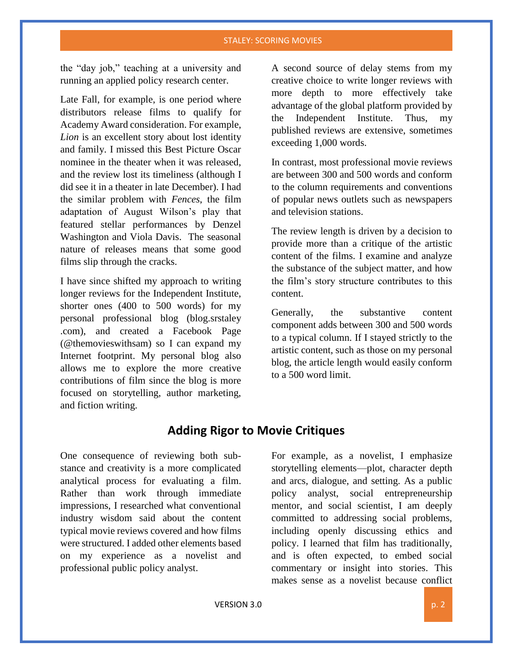#### STALEY: SCORING MOVIES

the "day job," teaching at a university and running an applied policy research center.

Late Fall, for example, is one period where distributors release films to qualify for Academy Award consideration. For example, *Lion* is an excellent story about lost identity and family. I missed this Best Picture Oscar nominee in the theater when it was released, and the review lost its timeliness (although I did see it in a theater in late December). I had the similar problem with *Fences*, the film adaptation of August Wilson's play that featured stellar performances by Denzel Washington and Viola Davis. The seasonal nature of releases means that some good films slip through the cracks.

I have since shifted my approach to writing longer reviews for the Independent Institute, shorter ones (400 to 500 words) for my personal professional blog (blog.srstaley .com), and created a Facebook Page (@themovieswithsam) so I can expand my Internet footprint. My personal blog also allows me to explore the more creative contributions of film since the blog is more focused on storytelling, author marketing, and fiction writing.

A second source of delay stems from my creative choice to write longer reviews with more depth to more effectively take advantage of the global platform provided by the Independent Institute. Thus, my published reviews are extensive, sometimes exceeding 1,000 words.

In contrast, most professional movie reviews are between 300 and 500 words and conform to the column requirements and conventions of popular news outlets such as newspapers and television stations.

The review length is driven by a decision to provide more than a critique of the artistic content of the films. I examine and analyze the substance of the subject matter, and how the film's story structure contributes to this content.

Generally, the substantive content component adds between 300 and 500 words to a typical column. If I stayed strictly to the artistic content, such as those on my personal blog, the article length would easily conform to a 500 word limit.

## **Adding Rigor to Movie Critiques**

One consequence of reviewing both substance and creativity is a more complicated analytical process for evaluating a film. Rather than work through immediate impressions, I researched what conventional industry wisdom said about the content typical movie reviews covered and how films were structured. I added other elements based on my experience as a novelist and professional public policy analyst.

For example, as a novelist, I emphasize storytelling elements—plot, character depth and arcs, dialogue, and setting. As a public policy analyst, social entrepreneurship mentor, and social scientist, I am deeply committed to addressing social problems, including openly discussing ethics and policy. I learned that film has traditionally, and is often expected, to embed social commentary or insight into stories. This makes sense as a novelist because conflict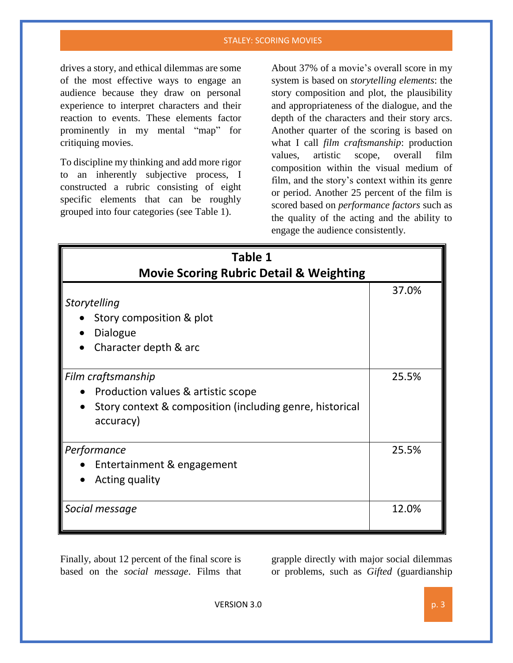#### STALEY: SCORING MOVIES

drives a story, and ethical dilemmas are some of the most effective ways to engage an audience because they draw on personal experience to interpret characters and their reaction to events. These elements factor prominently in my mental "map" for critiquing movies.

To discipline my thinking and add more rigor to an inherently subjective process, I constructed a rubric consisting of eight specific elements that can be roughly grouped into four categories (see Table 1).

About 37% of a movie's overall score in my system is based on *storytelling elements*: the story composition and plot, the plausibility and appropriateness of the dialogue, and the depth of the characters and their story arcs. Another quarter of the scoring is based on what I call *film craftsmanship*: production values, artistic scope, overall film composition within the visual medium of film, and the story's context within its genre or period. Another 25 percent of the film is scored based on *performance factors* such as the quality of the acting and the ability to engage the audience consistently.

| Table 1                                                                                                                           |       |  |  |  |
|-----------------------------------------------------------------------------------------------------------------------------------|-------|--|--|--|
| <b>Movie Scoring Rubric Detail &amp; Weighting</b>                                                                                |       |  |  |  |
| Storytelling<br>Story composition & plot<br>Dialogue<br>Character depth & arc                                                     | 37.0% |  |  |  |
| Film craftsmanship<br>Production values & artistic scope<br>Story context & composition (including genre, historical<br>accuracy) | 25.5% |  |  |  |
| Performance<br>Entertainment & engagement<br>Acting quality                                                                       | 25.5% |  |  |  |
| Social message                                                                                                                    | 12.0% |  |  |  |

Finally, about 12 percent of the final score is based on the *social message*. Films that grapple directly with major social dilemmas or problems, such as *Gifted* (guardianship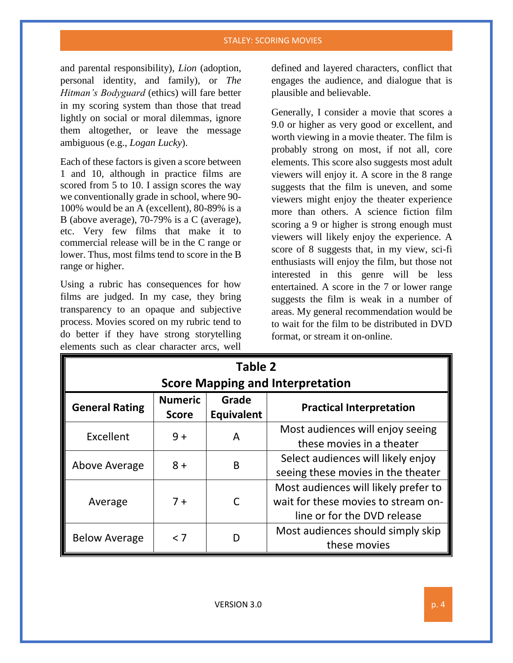#### STALEY: SCORING MOVIES

and parental responsibility), *Lion* (adoption, personal identity, and family), or *The Hitman's Bodyguard* (ethics) will fare better in my scoring system than those that tread lightly on social or moral dilemmas, ignore them altogether, or leave the message ambiguous (e.g., *Logan Lucky*).

Each of these factors is given a score between 1 and 10, although in practice films are scored from 5 to 10. I assign scores the way we conventionally grade in school, where 90- 100% would be an A (excellent), 80-89% is a B (above average), 70-79% is a C (average), etc. Very few films that make it to commercial release will be in the C range or lower. Thus, most films tend to score in the B range or higher.

Using a rubric has consequences for how films are judged. In my case, they bring transparency to an opaque and subjective process. Movies scored on my rubric tend to do better if they have strong storytelling elements such as clear character arcs, well

defined and layered characters, conflict that engages the audience, and dialogue that is plausible and believable.

Generally, I consider a movie that scores a 9.0 or higher as very good or excellent, and worth viewing in a movie theater. The film is probably strong on most, if not all, core elements. This score also suggests most adult viewers will enjoy it. A score in the 8 range suggests that the film is uneven, and some viewers might enjoy the theater experience more than others. A science fiction film scoring a 9 or higher is strong enough must viewers will likely enjoy the experience. A score of 8 suggests that, in my view, sci-fi enthusiasts will enjoy the film, but those not interested in this genre will be less entertained. A score in the 7 or lower range suggests the film is weak in a number of areas. My general recommendation would be to wait for the film to be distributed in DVD format, or stream it on-online.

| <b>Table 2</b>                          |                                |                            |                                                                                                            |
|-----------------------------------------|--------------------------------|----------------------------|------------------------------------------------------------------------------------------------------------|
| <b>Score Mapping and Interpretation</b> |                                |                            |                                                                                                            |
| <b>General Rating</b>                   | <b>Numeric</b><br><b>Score</b> | Grade<br><b>Equivalent</b> | <b>Practical Interpretation</b>                                                                            |
| Excellent                               | $9+$                           | A                          | Most audiences will enjoy seeing<br>these movies in a theater                                              |
| Above Average                           | $8+$                           | B                          | Select audiences will likely enjoy<br>seeing these movies in the theater                                   |
| Average                                 | $7 +$                          | C                          | Most audiences will likely prefer to<br>wait for these movies to stream on-<br>line or for the DVD release |
| <b>Below Average</b>                    | < 7                            |                            | Most audiences should simply skip<br>these movies                                                          |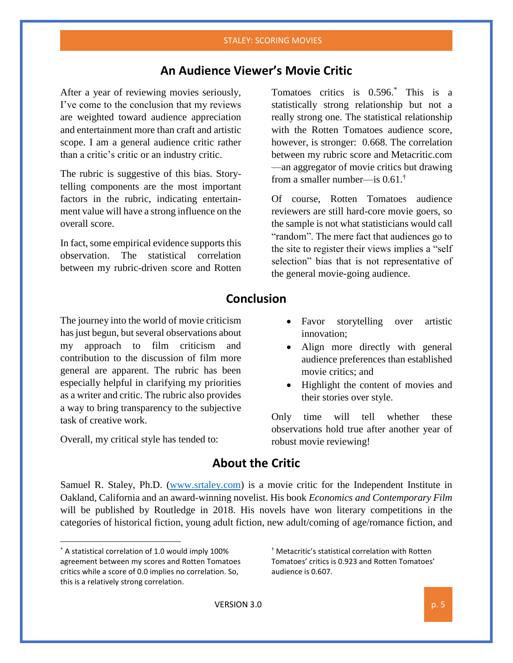## **An Audience Viewer's Movie Critic**

After a year of reviewing movies seriously, I've come to the conclusion that my reviews are weighted toward audience appreciation and entertainment more than craft and artistic scope. I am a general audience critic rather than a critic's critic or an industry critic.

The rubric is suggestive of this bias. Storytelling components are the most important factors in the rubric, indicating entertainment value will have a strong influence on the overall score.

In fact, some empirical evidence supports this observation. The statistical correlation between my rubric-driven score and Rotten

Tomatoes critics is 0.596.\* This is a statistically strong relationship but not a really strong one. The statistical relationship with the Rotten Tomatoes audience score, however, is stronger: 0.668. The correlation between my rubric score and Metacritic.com —an aggregator of movie critics but drawing from a smaller number—is  $0.61$ .<sup>†</sup>

Of course, Rotten Tomatoes audience reviewers are still hard-core movie goers, so the sample is not what statisticians would call "random". The mere fact that audiences go to the site to register their views implies a "self selection" bias that is not representative of the general movie-going audience.

### **Conclusion**

The journey into the world of movie criticism has just begun, but several observations about my approach to film criticism and contribution to the discussion of film more general are apparent. The rubric has been especially helpful in clarifying my priorities as a writer and critic. The rubric also provides a way to bring transparency to the subjective task of creative work.

Overall, my critical style has tended to:

- Favor storytelling over artistic innovation;
- Align more directly with general audience preferences than established movie critics; and
- Highlight the content of movies and their stories over style.

Only time will tell whether these observations hold true after another year of robust movie reviewing!

### **About the Critic**

Samuel R. Staley, Ph.D. [\(www.srtaley.com\)](http://www.srtaley.com/) is a movie critic for the Independent Institute in Oakland, California and an award-winning novelist. His book *Economics and Contemporary Film*  will be published by Routledge in 2018. His novels have won literary competitions in the categories of historical fiction, young adult fiction, new adult/coming of age/romance fiction, and

 $\overline{\phantom{a}}$ 

† Metacritic's statistical correlation with Rotten Tomatoes' critics is 0.923 and Rotten Tomatoes' audience is 0.607.

<sup>\*</sup> A statistical correlation of 1.0 would imply 100% agreement between my scores and Rotten Tomatoes critics while a score of 0.0 implies no correlation. So, this is a relatively strong correlation.